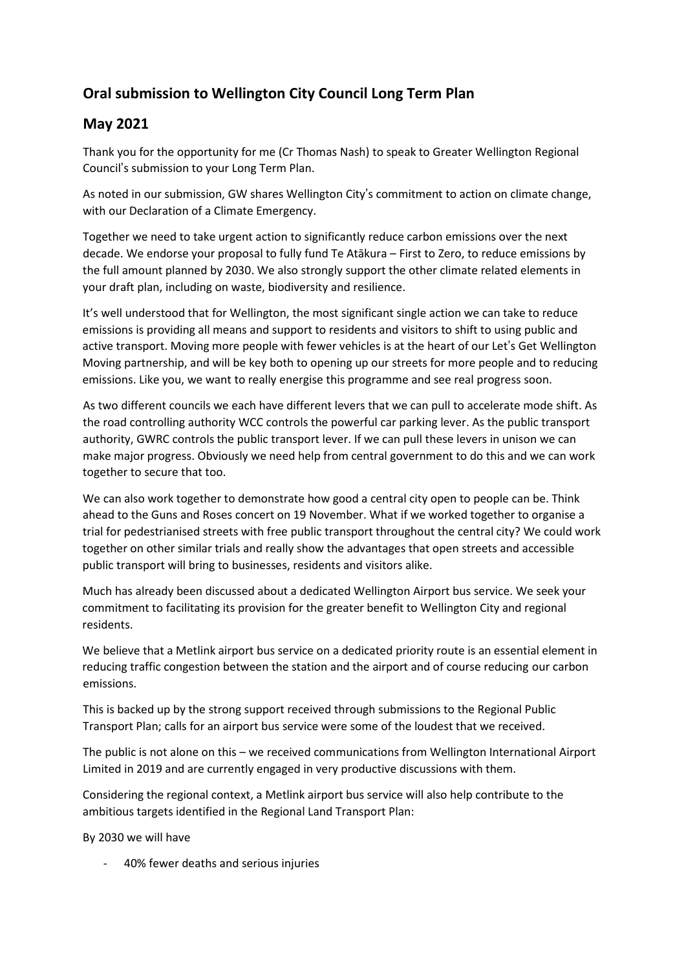## **Oral submission to Wellington City Council Long Term Plan**

## **May 2021**

Thank you for the opportunity for me (Cr Thomas Nash) to speak to Greater Wellington Regional Council's submission to your Long Term Plan.

As noted in our submission, GW shares Wellington City's commitment to action on climate change, with our Declaration of a Climate Emergency.

Together we need to take urgent action to significantly reduce carbon emissions over the next decade. We endorse your proposal to fully fund Te Atākura – First to Zero, to reduce emissions by the full amount planned by 2030. We also strongly support the other climate related elements in your draft plan, including on waste, biodiversity and resilience.

It's well understood that for Wellington, the most significant single action we can take to reduce emissions is providing all means and support to residents and visitors to shift to using public and active transport. Moving more people with fewer vehicles is at the heart of our Let's Get Wellington Moving partnership, and will be key both to opening up our streets for more people and to reducing emissions. Like you, we want to really energise this programme and see real progress soon.

As two different councils we each have different levers that we can pull to accelerate mode shift. As the road controlling authority WCC controls the powerful car parking lever. As the public transport authority, GWRC controls the public transport lever. If we can pull these levers in unison we can make major progress. Obviously we need help from central government to do this and we can work together to secure that too.

We can also work together to demonstrate how good a central city open to people can be. Think ahead to the Guns and Roses concert on 19 November. What if we worked together to organise a trial for pedestrianised streets with free public transport throughout the central city? We could work together on other similar trials and really show the advantages that open streets and accessible public transport will bring to businesses, residents and visitors alike.

Much has already been discussed about a dedicated Wellington Airport bus service. We seek your commitment to facilitating its provision for the greater benefit to Wellington City and regional residents.

We believe that a Metlink airport bus service on a dedicated priority route is an essential element in reducing traffic congestion between the station and the airport and of course reducing our carbon emissions.

This is backed up by the strong support received through submissions to the Regional Public Transport Plan; calls for an airport bus service were some of the loudest that we received.

The public is not alone on this – we received communications from Wellington International Airport Limited in 2019 and are currently engaged in very productive discussions with them.

Considering the regional context, a Metlink airport bus service will also help contribute to the ambitious targets identified in the Regional Land Transport Plan:

By 2030 we will have

- 40% fewer deaths and serious injuries